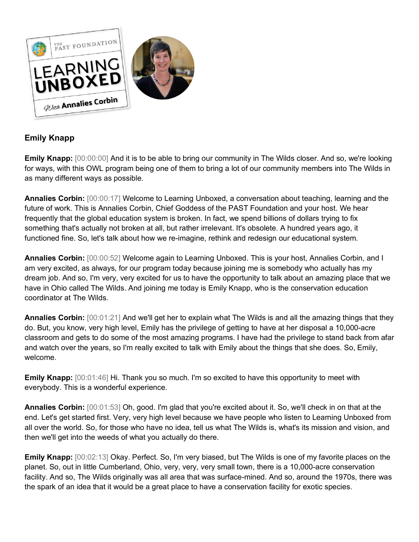

## **Emily Knapp**

**Emily Knapp:** [00:00:00] And it is to be able to bring our community in The Wilds closer. And so, we're looking for ways, with this OWL program being one of them to bring a lot of our community members into The Wilds in as many different ways as possible.

**Annalies Corbin:** [00:00:17] Welcome to Learning Unboxed, a conversation about teaching, learning and the future of work. This is Annalies Corbin, Chief Goddess of the PAST Foundation and your host. We hear frequently that the global education system is broken. In fact, we spend billions of dollars trying to fix something that's actually not broken at all, but rather irrelevant. It's obsolete. A hundred years ago, it functioned fine. So, let's talk about how we re-imagine, rethink and redesign our educational system.

**Annalies Corbin:** [00:00:52] Welcome again to Learning Unboxed. This is your host, Annalies Corbin, and I am very excited, as always, for our program today because joining me is somebody who actually has my dream job. And so, I'm very, very excited for us to have the opportunity to talk about an amazing place that we have in Ohio called The Wilds. And joining me today is Emily Knapp, who is the conservation education coordinator at The Wilds.

**Annalies Corbin:** [00:01:21] And we'll get her to explain what The Wilds is and all the amazing things that they do. But, you know, very high level, Emily has the privilege of getting to have at her disposal a 10,000-acre classroom and gets to do some of the most amazing programs. I have had the privilege to stand back from afar and watch over the years, so I'm really excited to talk with Emily about the things that she does. So, Emily, welcome.

**Emily Knapp:**  $[00:01:46]$  Hi. Thank you so much. I'm so excited to have this opportunity to meet with everybody. This is a wonderful experience.

**Annalies Corbin:** [00:01:53] Oh, good. I'm glad that you're excited about it. So, we'll check in on that at the end. Let's get started first. Very, very high level because we have people who listen to Learning Unboxed from all over the world. So, for those who have no idea, tell us what The Wilds is, what's its mission and vision, and then we'll get into the weeds of what you actually do there.

**Emily Knapp:** [00:02:13] Okay. Perfect. So, I'm very biased, but The Wilds is one of my favorite places on the planet. So, out in little Cumberland, Ohio, very, very, very small town, there is a 10,000-acre conservation facility. And so, The Wilds originally was all area that was surface-mined. And so, around the 1970s, there was the spark of an idea that it would be a great place to have a conservation facility for exotic species.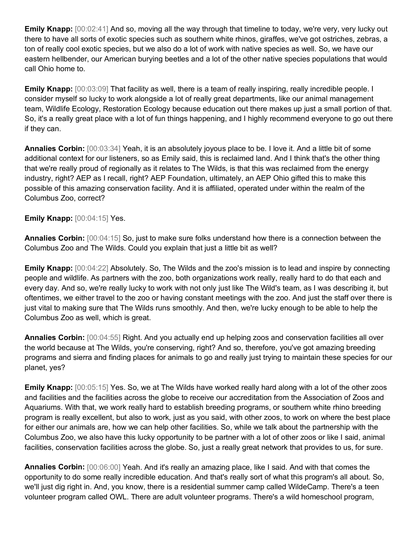**Emily Knapp:** [00:02:41] And so, moving all the way through that timeline to today, we're very, very lucky out there to have all sorts of exotic species such as southern white rhinos, giraffes, we've got ostriches, zebras, a ton of really cool exotic species, but we also do a lot of work with native species as well. So, we have our eastern hellbender, our American burying beetles and a lot of the other native species populations that would call Ohio home to.

**Emily Knapp:** [00:03:09] That facility as well, there is a team of really inspiring, really incredible people. I consider myself so lucky to work alongside a lot of really great departments, like our animal management team, Wildlife Ecology, Restoration Ecology because education out there makes up just a small portion of that. So, it's a really great place with a lot of fun things happening, and I highly recommend everyone to go out there if they can.

**Annalies Corbin:** [00:03:34] Yeah, it is an absolutely joyous place to be. I love it. And a little bit of some additional context for our listeners, so as Emily said, this is reclaimed land. And I think that's the other thing that we're really proud of regionally as it relates to The Wilds, is that this was reclaimed from the energy industry, right? AEP as I recall, right? AEP Foundation, ultimately, an AEP Ohio gifted this to make this possible of this amazing conservation facility. And it is affiliated, operated under within the realm of the Columbus Zoo, correct?

## **Emily Knapp:** [00:04:15] Yes.

**Annalies Corbin:** [00:04:15] So, just to make sure folks understand how there is a connection between the Columbus Zoo and The Wilds. Could you explain that just a little bit as well?

**Emily Knapp:** [00:04:22] Absolutely. So, The Wilds and the zoo's mission is to lead and inspire by connecting people and wildlife. As partners with the zoo, both organizations work really, really hard to do that each and every day. And so, we're really lucky to work with not only just like The Wild's team, as I was describing it, but oftentimes, we either travel to the zoo or having constant meetings with the zoo. And just the staff over there is just vital to making sure that The Wilds runs smoothly. And then, we're lucky enough to be able to help the Columbus Zoo as well, which is great.

**Annalies Corbin:** [00:04:55] Right. And you actually end up helping zoos and conservation facilities all over the world because at The Wilds, you're conserving, right? And so, therefore, you've got amazing breeding programs and sierra and finding places for animals to go and really just trying to maintain these species for our planet, yes?

**Emily Knapp:** [00:05:15] Yes. So, we at The Wilds have worked really hard along with a lot of the other zoos and facilities and the facilities across the globe to receive our accreditation from the Association of Zoos and Aquariums. With that, we work really hard to establish breeding programs, or southern white rhino breeding program is really excellent, but also to work, just as you said, with other zoos, to work on where the best place for either our animals are, how we can help other facilities. So, while we talk about the partnership with the Columbus Zoo, we also have this lucky opportunity to be partner with a lot of other zoos or like I said, animal facilities, conservation facilities across the globe. So, just a really great network that provides to us, for sure.

**Annalies Corbin:** [00:06:00] Yeah. And it's really an amazing place, like I said. And with that comes the opportunity to do some really incredible education. And that's really sort of what this program's all about. So, we'll just dig right in. And, you know, there is a residential summer camp called WildeCamp. There's a teen volunteer program called OWL. There are adult volunteer programs. There's a wild homeschool program,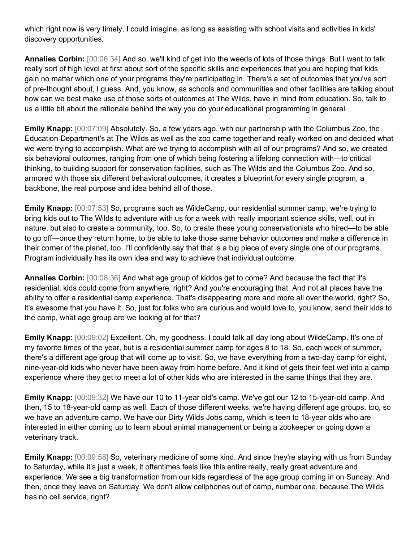which right now is very timely, I could imagine, as long as assisting with school visits and activities in kids' discovery opportunities.

**Annalies Corbin:** [00:06:34] And so, we'll kind of get into the weeds of lots of those things. But I want to talk really sort of high level at first about sort of the specific skills and experiences that you are hoping that kids gain no matter which one of your programs they're participating in. There's a set of outcomes that you've sort of pre-thought about, I guess. And, you know, as schools and communities and other facilities are talking about how can we best make use of those sorts of outcomes at The Wilds, have in mind from education. So, talk to us a little bit about the rationale behind the way you do your educational programming in general.

**Emily Knapp:** [00:07:09] Absolutely. So, a few years ago, with our partnership with the Columbus Zoo, the Education Department's at The Wilds as well as the zoo came together and really worked on and decided what we were trying to accomplish. What are we trying to accomplish with all of our programs? And so, we created six behavioral outcomes, ranging from one of which being fostering a lifelong connection with—to critical thinking, to building support for conservation facilities, such as The Wilds and the Columbus Zoo. And so, armored with those six different behavioral outcomes, it creates a blueprint for every single program, a backbone, the real purpose and idea behind all of those.

**Emily Knapp:** [00:07:53] So, programs such as WildeCamp, our residential summer camp, we're trying to bring kids out to The Wilds to adventure with us for a week with really important science skills, well, out in nature, but also to create a community, too. So, to create these young conservationists who hired—to be able to go off—once they return home, to be able to take those same behavior outcomes and make a difference in their corner of the planet, too. I'll confidently say that that is a big piece of every single one of our programs. Program individually has its own idea and way to achieve that individual outcome.

**Annalies Corbin:** [00:08:36] And what age group of kiddos get to come? And because the fact that it's residential, kids could come from anywhere, right? And you're encouraging that. And not all places have the ability to offer a residential camp experience. That's disappearing more and more all over the world, right? So, it's awesome that you have it. So, just for folks who are curious and would love to, you know, send their kids to the camp, what age group are we looking at for that?

**Emily Knapp:** [00:09:02] Excellent. Oh, my goodness. I could talk all day long about WildeCamp. It's one of my favorite times of the year, but is a residential summer camp for ages 8 to 18. So, each week of summer, there's a different age group that will come up to visit. So, we have everything from a two-day camp for eight, nine-year-old kids who never have been away from home before. And it kind of gets their feet wet into a camp experience where they get to meet a lot of other kids who are interested in the same things that they are.

**Emily Knapp:** [00:09:32] We have our 10 to 11-year old's camp. We've got our 12 to 15-year-old camp. And then, 15 to 18-year-old camp as well. Each of those different weeks, we're having different age groups, too, so we have an adventure camp. We have our Dirty Wilds Jobs camp, which is teen to 18-year olds who are interested in either coming up to learn about animal management or being a zookeeper or going down a veterinary track.

**Emily Knapp:** [00:09:58] So, veterinary medicine of some kind. And since they're staying with us from Sunday to Saturday, while it's just a week, it oftentimes feels like this entire really, really great adventure and experience. We see a big transformation from our kids regardless of the age group coming in on Sunday. And then, once they leave on Saturday. We don't allow cellphones out of camp, number one, because The Wilds has no cell service, right?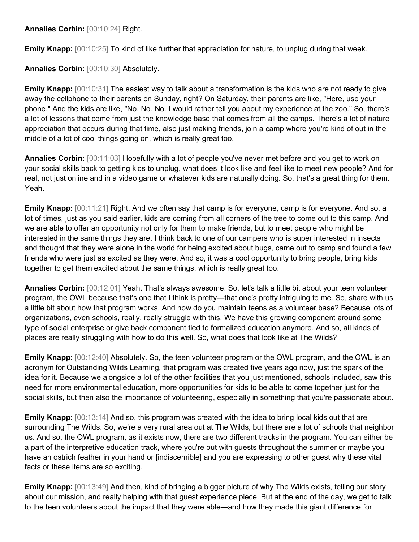**Annalies Corbin:** [00:10:24] Right.

**Emily Knapp:**  $[00:10:25]$  To kind of like further that appreciation for nature, to unplug during that week.

**Annalies Corbin:** [00:10:30] Absolutely.

**Emily Knapp:** [00:10:31] The easiest way to talk about a transformation is the kids who are not ready to give away the cellphone to their parents on Sunday, right? On Saturday, their parents are like, "Here, use your phone." And the kids are like, "No. No. No. I would rather tell you about my experience at the zoo." So, there's a lot of lessons that come from just the knowledge base that comes from all the camps. There's a lot of nature appreciation that occurs during that time, also just making friends, join a camp where you're kind of out in the middle of a lot of cool things going on, which is really great too.

**Annalies Corbin:** [00:11:03] Hopefully with a lot of people you've never met before and you get to work on your social skills back to getting kids to unplug, what does it look like and feel like to meet new people? And for real, not just online and in a video game or whatever kids are naturally doing. So, that's a great thing for them. Yeah.

**Emily Knapp:** [00:11:21] Right. And we often say that camp is for everyone, camp is for everyone. And so, a lot of times, just as you said earlier, kids are coming from all corners of the tree to come out to this camp. And we are able to offer an opportunity not only for them to make friends, but to meet people who might be interested in the same things they are. I think back to one of our campers who is super interested in insects and thought that they were alone in the world for being excited about bugs, came out to camp and found a few friends who were just as excited as they were. And so, it was a cool opportunity to bring people, bring kids together to get them excited about the same things, which is really great too.

**Annalies Corbin:** [00:12:01] Yeah. That's always awesome. So, let's talk a little bit about your teen volunteer program, the OWL because that's one that I think is pretty—that one's pretty intriguing to me. So, share with us a little bit about how that program works. And how do you maintain teens as a volunteer base? Because lots of organizations, even schools, really, really struggle with this. We have this growing component around some type of social enterprise or give back component tied to formalized education anymore. And so, all kinds of places are really struggling with how to do this well. So, what does that look like at The Wilds?

**Emily Knapp:** [00:12:40] Absolutely. So, the teen volunteer program or the OWL program, and the OWL is an acronym for Outstanding Wilds Learning, that program was created five years ago now, just the spark of the idea for it. Because we alongside a lot of the other facilities that you just mentioned, schools included, saw this need for more environmental education, more opportunities for kids to be able to come together just for the social skills, but then also the importance of volunteering, especially in something that you're passionate about.

**Emily Knapp:** [00:13:14] And so, this program was created with the idea to bring local kids out that are surrounding The Wilds. So, we're a very rural area out at The Wilds, but there are a lot of schools that neighbor us. And so, the OWL program, as it exists now, there are two different tracks in the program. You can either be a part of the interpretive education track, where you're out with guests throughout the summer or maybe you have an ostrich feather in your hand or [indiscernible] and you are expressing to other guest why these vital facts or these items are so exciting.

**Emily Knapp:** [00:13:49] And then, kind of bringing a bigger picture of why The Wilds exists, telling our story about our mission, and really helping with that guest experience piece. But at the end of the day, we get to talk to the teen volunteers about the impact that they were able—and how they made this giant difference for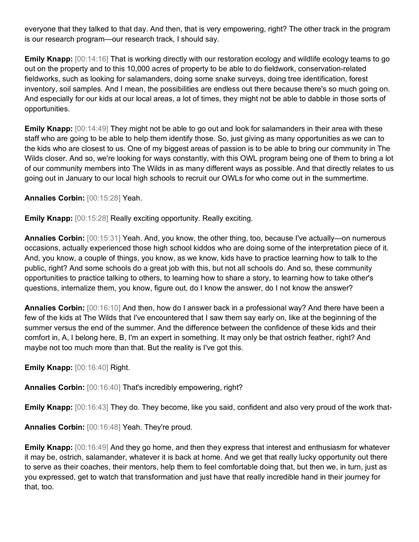everyone that they talked to that day. And then, that is very empowering, right? The other track in the program is our research program—our research track, I should say.

**Emily Knapp:** [00:14:16] That is working directly with our restoration ecology and wildlife ecology teams to go out on the property and to this 10,000 acres of property to be able to do fieldwork, conservation-related fieldworks, such as looking for salamanders, doing some snake surveys, doing tree identification, forest inventory, soil samples. And I mean, the possibilities are endless out there because there's so much going on. And especially for our kids at our local areas, a lot of times, they might not be able to dabble in those sorts of opportunities.

**Emily Knapp:** [00:14:49] They might not be able to go out and look for salamanders in their area with these staff who are going to be able to help them identify those. So, just giving as many opportunities as we can to the kids who are closest to us. One of my biggest areas of passion is to be able to bring our community in The Wilds closer. And so, we're looking for ways constantly, with this OWL program being one of them to bring a lot of our community members into The Wilds in as many different ways as possible. And that directly relates to us going out in January to our local high schools to recruit our OWLs for who come out in the summertime.

**Annalies Corbin:** [00:15:28] Yeah.

**Emily Knapp:** [00:15:28] Really exciting opportunity. Really exciting.

**Annalies Corbin:** [00:15:31] Yeah. And, you know, the other thing, too, because I've actually—on numerous occasions, actually experienced those high school kiddos who are doing some of the interpretation piece of it. And, you know, a couple of things, you know, as we know, kids have to practice learning how to talk to the public, right? And some schools do a great job with this, but not all schools do. And so, these community opportunities to practice talking to others, to learning how to share a story, to learning how to take other's questions, internalize them, you know, figure out, do I know the answer, do I not know the answer?

**Annalies Corbin:** [00:16:10] And then, how do I answer back in a professional way? And there have been a few of the kids at The Wilds that I've encountered that I saw them say early on, like at the beginning of the summer versus the end of the summer. And the difference between the confidence of these kids and their comfort in, A, I belong here, B, I'm an expert in something. It may only be that ostrich feather, right? And maybe not too much more than that. But the reality is I've got this.

**Emily Knapp:** [00:16:40] Right.

**Annalies Corbin:** [00:16:40] That's incredibly empowering, right?

**Emily Knapp:**  $[00:16:43]$  They do. They become, like you said, confident and also very proud of the work that-

**Annalies Corbin:** [00:16:48] Yeah. They're proud.

**Emily Knapp:** [00:16:49] And they go home, and then they express that interest and enthusiasm for whatever it may be, ostrich, salamander, whatever it is back at home. And we get that really lucky opportunity out there to serve as their coaches, their mentors, help them to feel comfortable doing that, but then we, in turn, just as you expressed, get to watch that transformation and just have that really incredible hand in their journey for that, too.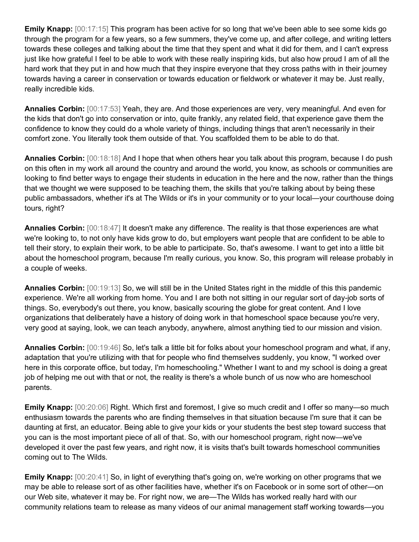**Emily Knapp:** [00:17:15] This program has been active for so long that we've been able to see some kids go through the program for a few years, so a few summers, they've come up, and after college, and writing letters towards these colleges and talking about the time that they spent and what it did for them, and I can't express just like how grateful I feel to be able to work with these really inspiring kids, but also how proud I am of all the hard work that they put in and how much that they inspire everyone that they cross paths with in their journey towards having a career in conservation or towards education or fieldwork or whatever it may be. Just really, really incredible kids.

**Annalies Corbin:** [00:17:53] Yeah, they are. And those experiences are very, very meaningful. And even for the kids that don't go into conservation or into, quite frankly, any related field, that experience gave them the confidence to know they could do a whole variety of things, including things that aren't necessarily in their comfort zone. You literally took them outside of that. You scaffolded them to be able to do that.

**Annalies Corbin:** [00:18:18] And I hope that when others hear you talk about this program, because I do push on this often in my work all around the country and around the world, you know, as schools or communities are looking to find better ways to engage their students in education in the here and the now, rather than the things that we thought we were supposed to be teaching them, the skills that you're talking about by being these public ambassadors, whether it's at The Wilds or it's in your community or to your local—your courthouse doing tours, right?

**Annalies Corbin:** [00:18:47] It doesn't make any difference. The reality is that those experiences are what we're looking to, to not only have kids grow to do, but employers want people that are confident to be able to tell their story, to explain their work, to be able to participate. So, that's awesome. I want to get into a little bit about the homeschool program, because I'm really curious, you know. So, this program will release probably in a couple of weeks.

**Annalies Corbin:** [00:19:13] So, we will still be in the United States right in the middle of this this pandemic experience. We're all working from home. You and I are both not sitting in our regular sort of day-job sorts of things. So, everybody's out there, you know, basically scouring the globe for great content. And I love organizations that deliberately have a history of doing work in that homeschool space because you're very, very good at saying, look, we can teach anybody, anywhere, almost anything tied to our mission and vision.

**Annalies Corbin:** [00:19:46] So, let's talk a little bit for folks about your homeschool program and what, if any, adaptation that you're utilizing with that for people who find themselves suddenly, you know, "I worked over here in this corporate office, but today, I'm homeschooling." Whether I want to and my school is doing a great job of helping me out with that or not, the reality is there's a whole bunch of us now who are homeschool parents.

**Emily Knapp:**  $[00:20:06]$  Right. Which first and foremost, I give so much credit and I offer so many—so much enthusiasm towards the parents who are finding themselves in that situation because I'm sure that it can be daunting at first, an educator. Being able to give your kids or your students the best step toward success that you can is the most important piece of all of that. So, with our homeschool program, right now—we've developed it over the past few years, and right now, it is visits that's built towards homeschool communities coming out to The Wilds.

**Emily Knapp:**  $[00:20:41]$  So, in light of everything that's going on, we're working on other programs that we may be able to release sort of as other facilities have, whether it's on Facebook or in some sort of other—on our Web site, whatever it may be. For right now, we are—The Wilds has worked really hard with our community relations team to release as many videos of our animal management staff working towards—you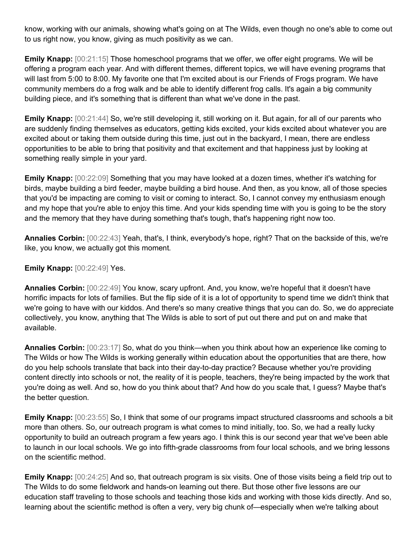know, working with our animals, showing what's going on at The Wilds, even though no one's able to come out to us right now, you know, giving as much positivity as we can.

**Emily Knapp:**  $[00:21:15]$  Those homeschool programs that we offer, we offer eight programs. We will be offering a program each year. And with different themes, different topics, we will have evening programs that will last from 5:00 to 8:00. My favorite one that I'm excited about is our Friends of Frogs program. We have community members do a frog walk and be able to identify different frog calls. It's again a big community building piece, and it's something that is different than what we've done in the past.

**Emily Knapp:** [00:21:44] So, we're still developing it, still working on it. But again, for all of our parents who are suddenly finding themselves as educators, getting kids excited, your kids excited about whatever you are excited about or taking them outside during this time, just out in the backyard, I mean, there are endless opportunities to be able to bring that positivity and that excitement and that happiness just by looking at something really simple in your yard.

**Emily Knapp:**  $[00:22:09]$  Something that you may have looked at a dozen times, whether it's watching for birds, maybe building a bird feeder, maybe building a bird house. And then, as you know, all of those species that you'd be impacting are coming to visit or coming to interact. So, I cannot convey my enthusiasm enough and my hope that you're able to enjoy this time. And your kids spending time with you is going to be the story and the memory that they have during something that's tough, that's happening right now too.

**Annalies Corbin:** [00:22:43] Yeah, that's, I think, everybody's hope, right? That on the backside of this, we're like, you know, we actually got this moment.

**Emily Knapp:** [00:22:49] Yes.

**Annalies Corbin:** [00:22:49] You know, scary upfront. And, you know, we're hopeful that it doesn't have horrific impacts for lots of families. But the flip side of it is a lot of opportunity to spend time we didn't think that we're going to have with our kiddos. And there's so many creative things that you can do. So, we do appreciate collectively, you know, anything that The Wilds is able to sort of put out there and put on and make that available.

**Annalies Corbin:** [00:23:17] So, what do you think—when you think about how an experience like coming to The Wilds or how The Wilds is working generally within education about the opportunities that are there, how do you help schools translate that back into their day-to-day practice? Because whether you're providing content directly into schools or not, the reality of it is people, teachers, they're being impacted by the work that you're doing as well. And so, how do you think about that? And how do you scale that, I guess? Maybe that's the better question.

**Emily Knapp:** [00:23:55] So, I think that some of our programs impact structured classrooms and schools a bit more than others. So, our outreach program is what comes to mind initially, too. So, we had a really lucky opportunity to build an outreach program a few years ago. I think this is our second year that we've been able to launch in our local schools. We go into fifth-grade classrooms from four local schools, and we bring lessons on the scientific method.

**Emily Knapp:** [00:24:25] And so, that outreach program is six visits. One of those visits being a field trip out to The Wilds to do some fieldwork and hands-on learning out there. But those other five lessons are our education staff traveling to those schools and teaching those kids and working with those kids directly. And so, learning about the scientific method is often a very, very big chunk of—especially when we're talking about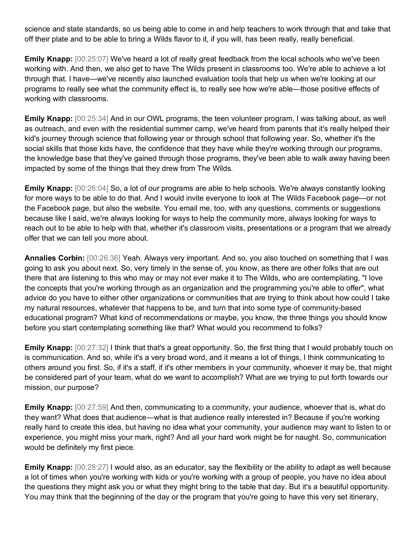science and state standards, so us being able to come in and help teachers to work through that and take that off their plate and to be able to bring a Wilds flavor to it, if you will, has been really, really beneficial.

**Emily Knapp:**  $[00:25:07]$  We've heard a lot of really great feedback from the local schools who we've been working with. And then, we also get to have The Wilds present in classrooms too. We're able to achieve a lot through that. I have—we've recently also launched evaluation tools that help us when we're looking at our programs to really see what the community effect is, to really see how we're able—those positive effects of working with classrooms.

**Emily Knapp:** [00:25:34] And in our OWL programs, the teen volunteer program, I was talking about, as well as outreach, and even with the residential summer camp, we've heard from parents that it's really helped their kid's journey through science that following year or through school that following year. So, whether it's the social skills that those kids have, the confidence that they have while they're working through our programs, the knowledge base that they've gained through those programs, they've been able to walk away having been impacted by some of the things that they drew from The Wilds.

**Emily Knapp:** [00:26:04] So, a lot of our programs are able to help schools. We're always constantly looking for more ways to be able to do that. And I would invite everyone to look at The Wilds Facebook page—or not the Facebook page, but also the website. You email me, too, with any questions, comments or suggestions because like I said, we're always looking for ways to help the community more, always looking for ways to reach out to be able to help with that, whether it's classroom visits, presentations or a program that we already offer that we can tell you more about.

**Annalies Corbin:** [00:26:36] Yeah. Always very important. And so, you also touched on something that I was going to ask you about next. So, very timely in the sense of, you know, as there are other folks that are out there that are listening to this who may or may not ever make it to The Wilds, who are contemplating, "I love the concepts that you're working through as an organization and the programming you're able to offer", what advice do you have to either other organizations or communities that are trying to think about how could I take my natural resources, whatever that happens to be, and turn that into some type of community-based educational program? What kind of recommendations or maybe, you know, the three things you should know before you start contemplating something like that? What would you recommend to folks?

**Emily Knapp:**  $[00:27:32]$  I think that that's a great opportunity. So, the first thing that I would probably touch on is communication. And so, while it's a very broad word, and it means a lot of things, I think communicating to others around you first. So, if it's a staff, if it's other members in your community, whoever it may be, that might be considered part of your team, what do we want to accomplish? What are we trying to put forth towards our mission, our purpose?

**Emily Knapp:** [00:27:59] And then, communicating to a community, your audience, whoever that is, what do they want? What does that audience—what is that audience really interested in? Because if you're working really hard to create this idea, but having no idea what your community, your audience may want to listen to or experience, you might miss your mark, right? And all your hard work might be for naught. So, communication would be definitely my first piece.

**Emily Knapp:** [00:28:27] I would also, as an educator, say the flexibility or the ability to adapt as well because a lot of times when you're working with kids or you're working with a group of people, you have no idea about the questions they might ask you or what they might bring to the table that day. But it's a beautiful opportunity. You may think that the beginning of the day or the program that you're going to have this very set itinerary,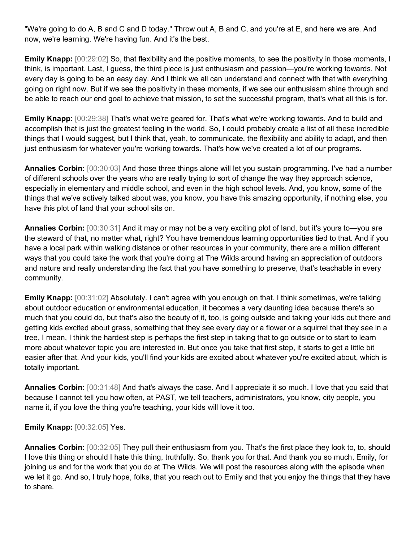"We're going to do A, B and C and D today." Throw out A, B and C, and you're at E, and here we are. And now, we're learning. We're having fun. And it's the best.

**Emily Knapp:**  $[00:29:02]$  So, that flexibility and the positive moments, to see the positivity in those moments, I think, is important. Last, I guess, the third piece is just enthusiasm and passion—you're working towards. Not every day is going to be an easy day. And I think we all can understand and connect with that with everything going on right now. But if we see the positivity in these moments, if we see our enthusiasm shine through and be able to reach our end goal to achieve that mission, to set the successful program, that's what all this is for.

**Emily Knapp:** [00:29:38] That's what we're geared for. That's what we're working towards. And to build and accomplish that is just the greatest feeling in the world. So, I could probably create a list of all these incredible things that I would suggest, but I think that, yeah, to communicate, the flexibility and ability to adapt, and then just enthusiasm for whatever you're working towards. That's how we've created a lot of our programs.

**Annalies Corbin:** [00:30:03] And those three things alone will let you sustain programming. I've had a number of different schools over the years who are really trying to sort of change the way they approach science, especially in elementary and middle school, and even in the high school levels. And, you know, some of the things that we've actively talked about was, you know, you have this amazing opportunity, if nothing else, you have this plot of land that your school sits on.

**Annalies Corbin:** [00:30:31] And it may or may not be a very exciting plot of land, but it's yours to—you are the steward of that, no matter what, right? You have tremendous learning opportunities tied to that. And if you have a local park within walking distance or other resources in your community, there are a million different ways that you could take the work that you're doing at The Wilds around having an appreciation of outdoors and nature and really understanding the fact that you have something to preserve, that's teachable in every community.

**Emily Knapp:** [00:31:02] Absolutely. I can't agree with you enough on that. I think sometimes, we're talking about outdoor education or environmental education, it becomes a very daunting idea because there's so much that you could do, but that's also the beauty of it, too, is going outside and taking your kids out there and getting kids excited about grass, something that they see every day or a flower or a squirrel that they see in a tree, I mean, I think the hardest step is perhaps the first step in taking that to go outside or to start to learn more about whatever topic you are interested in. But once you take that first step, it starts to get a little bit easier after that. And your kids, you'll find your kids are excited about whatever you're excited about, which is totally important.

**Annalies Corbin:** [00:31:48] And that's always the case. And I appreciate it so much. I love that you said that because I cannot tell you how often, at PAST, we tell teachers, administrators, you know, city people, you name it, if you love the thing you're teaching, your kids will love it too.

**Emily Knapp:** [00:32:05] Yes.

**Annalies Corbin:** [00:32:05] They pull their enthusiasm from you. That's the first place they look to, to, should I love this thing or should I hate this thing, truthfully. So, thank you for that. And thank you so much, Emily, for joining us and for the work that you do at The Wilds. We will post the resources along with the episode when we let it go. And so, I truly hope, folks, that you reach out to Emily and that you enjoy the things that they have to share.